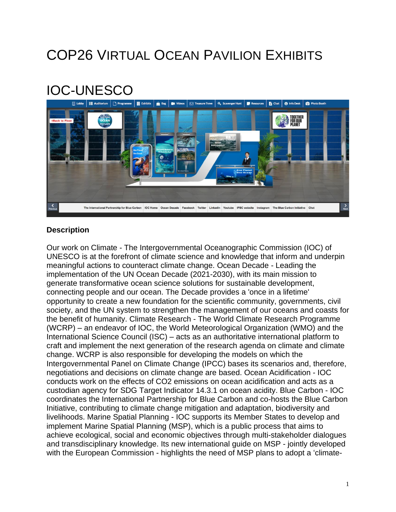# COP26 VIRTUAL OCEAN PAVILION EXHIBITS

# IOC-UNESCO



### **Description**

Our work on Climate - The Intergovernmental Oceanographic Commission (IOC) of UNESCO is at the forefront of climate science and knowledge that inform and underpin meaningful actions to counteract climate change. Ocean Decade - Leading the implementation of the UN Ocean Decade (2021-2030), with its main mission to generate transformative ocean science solutions for sustainable development, connecting people and our ocean. The Decade provides a 'once in a lifetime' opportunity to create a new foundation for the scientific community, governments, civil society, and the UN system to strengthen the management of our oceans and coasts for the benefit of humanity. Climate Research - The World Climate Research Programme (WCRP) – an endeavor of IOC, the World Meteorological Organization (WMO) and the International Science Council (ISC) – acts as an authoritative international platform to craft and implement the next generation of the research agenda on climate and climate change. WCRP is also responsible for developing the models on which the Intergovernmental Panel on Climate Change (IPCC) bases its scenarios and, therefore, negotiations and decisions on climate change are based. Ocean Acidification - IOC conducts work on the effects of CO2 emissions on ocean acidification and acts as a custodian agency for SDG Target Indicator 14.3.1 on ocean acidity. Blue Carbon - IOC coordinates the International Partnership for Blue Carbon and co-hosts the Blue Carbon Initiative, contributing to climate change mitigation and adaptation, biodiversity and livelihoods. Marine Spatial Planning - IOC supports its Member States to develop and implement Marine Spatial Planning (MSP), which is a public process that aims to achieve ecological, social and economic objectives through multi-stakeholder dialogues and transdisciplinary knowledge. Its new international guide on MSP - jointly developed with the European Commission - highlights the need of MSP plans to adopt a 'climate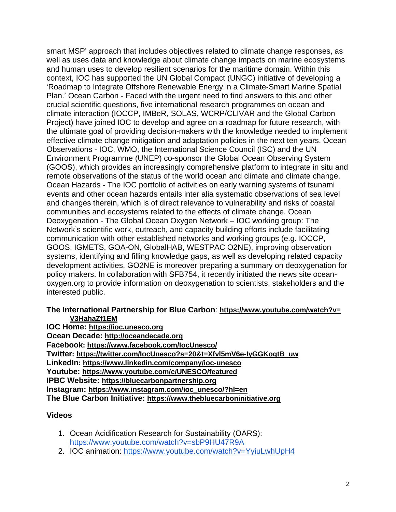smart MSP' approach that includes objectives related to climate change responses, as well as uses data and knowledge about climate change impacts on marine ecosystems and human uses to develop resilient scenarios for the maritime domain. Within this context, IOC has supported the UN Global Compact (UNGC) initiative of developing a 'Roadmap to Integrate Offshore Renewable Energy in a Climate-Smart Marine Spatial Plan.' Ocean Carbon - Faced with the urgent need to find answers to this and other crucial scientific questions, five international research programmes on ocean and climate interaction (IOCCP, IMBeR, SOLAS, WCRP/CLIVAR and the Global Carbon Project) have joined IOC to develop and agree on a roadmap for future research, with the ultimate goal of providing decision-makers with the knowledge needed to implement effective climate change mitigation and adaptation policies in the next ten years. Ocean Observations - IOC, WMO, the International Science Council (ISC) and the UN Environment Programme (UNEP) co-sponsor the Global Ocean Observing System (GOOS), which provides an increasingly comprehensive platform to integrate in situ and remote observations of the status of the world ocean and climate and climate change. Ocean Hazards - The IOC portfolio of activities on early warning systems of tsunami events and other ocean hazards entails inter alia systematic observations of sea level and changes therein, which is of direct relevance to vulnerability and risks of coastal communities and ecosystems related to the effects of climate change. Ocean Deoxygenation - The Global Ocean Oxygen Network – IOC working group: The Network's scientific work, outreach, and capacity building efforts include facilitating communication with other established networks and working groups (e.g. IOCCP, GOOS, IGMETS, GOA-ON, GlobalHAB, WESTPAC O2NE), improving observation systems, identifying and filling knowledge gaps, as well as developing related capacity development activities. GO2NE is moreover preparing a summary on deoxygenation for policy makers. In collaboration with SFB754, it recently initiated the news site oceanoxygen.org to provide information on deoxygenation to scientists, stakeholders and the interested public.

#### **The International Partnership for Blue Carbon**: **[https://www.youtube.com/watch?v=](https://www.youtube.com/watch?v=V3HahaZf1EM) [V3HahaZf1EM](https://www.youtube.com/watch?v=V3HahaZf1EM)**

**IOC Home: [https://ioc.unesco.org](https://ioc.unesco.org/) Ocean Decade: [http://oceandecade.org](http://oceandecade.org/) Facebook: <https://www.facebook.com/IocUnesco/> Twitter: [https://twitter.com/IocUnesco?s=20&t=Xfvl5mV6e-IyGGKogtB\\_uw](https://twitter.com/IocUnesco?s=20&t=Xfvl5mV6e-IyGGKogtB_uw) LinkedIn: <https://www.linkedin.com/company/ioc-unesco> Youtube: <https://www.youtube.com/c/UNESCO/featured> IPBC Website: [https://bluecarbonpartnership.org](https://bluecarbonpartnership.org/) Instagram: [https://www.instagram.com/ioc\\_unesco/?hl=en](https://www.instagram.com/ioc_unesco/?hl=en) The Blue Carbon Initiative: [https://www.thebluecarboninitiative.org](https://www.thebluecarboninitiative.org/)**

### **Videos**

- 1. Ocean Acidification Research for Sustainability (OARS): <https://www.youtube.com/watch?v=sbP9HU47R9A>
- 2. IOC animation: <https://www.youtube.com/watch?v=YyiuLwhUpH4>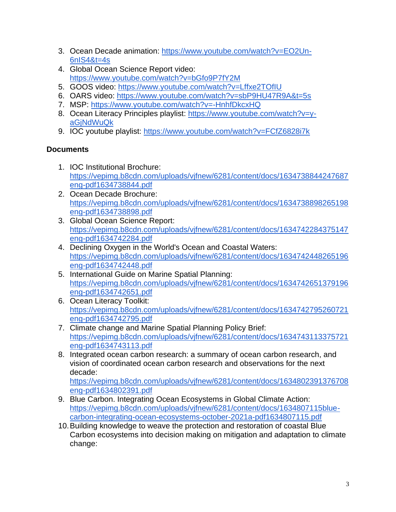- 3. Ocean Decade animation: [https://www.youtube.com/watch?v=EO2Un-](https://www.youtube.com/watch?v=EO2Un-6nIS4&t=4s)[6nIS4&t=4s](https://www.youtube.com/watch?v=EO2Un-6nIS4&t=4s)
- 4. Global Ocean Science Report video: <https://www.youtube.com/watch?v=bGfo9P7fY2M>
- 5. GOOS video: <https://www.youtube.com/watch?v=Lffxe2TOfIU>
- 6. OARS video: <https://www.youtube.com/watch?v=sbP9HU47R9A&t=5s>
- 7. MSP: <https://www.youtube.com/watch?v=-HnhfDkcxHQ>
- 8. Ocean Literacy Principles playlist: [https://www.youtube.com/watch?v=y](https://www.youtube.com/watch?v=y-aGjNdWuQk)[aGjNdWuQk](https://www.youtube.com/watch?v=y-aGjNdWuQk)
- 9. IOC youtube playlist: <https://www.youtube.com/watch?v=FCfZ6828i7k>

## **Documents**

- 1. IOC Institutional Brochure: [https://vepimg.b8cdn.com/uploads/vjfnew/6281/content/docs/1634738844247687](https://vepimg.b8cdn.com/uploads/vjfnew/6281/content/docs/1634738844247687eng-pdf1634738844.pdf) [eng-pdf1634738844.pdf](https://vepimg.b8cdn.com/uploads/vjfnew/6281/content/docs/1634738844247687eng-pdf1634738844.pdf)
- 2. Ocean Decade Brochure: [https://vepimg.b8cdn.com/uploads/vjfnew/6281/content/docs/1634738898265198](https://vepimg.b8cdn.com/uploads/vjfnew/6281/content/docs/1634738898265198eng-pdf1634738898.pdf) [eng-pdf1634738898.pdf](https://vepimg.b8cdn.com/uploads/vjfnew/6281/content/docs/1634738898265198eng-pdf1634738898.pdf)
- 3. Global Ocean Science Report: [https://vepimg.b8cdn.com/uploads/vjfnew/6281/content/docs/1634742284375147](https://vepimg.b8cdn.com/uploads/vjfnew/6281/content/docs/1634742284375147eng-pdf1634742284.pdf) [eng-pdf1634742284.pdf](https://vepimg.b8cdn.com/uploads/vjfnew/6281/content/docs/1634742284375147eng-pdf1634742284.pdf)
- 4. Declining Oxygen in the World's Ocean and Coastal Waters: [https://vepimg.b8cdn.com/uploads/vjfnew/6281/content/docs/1634742448265196](https://vepimg.b8cdn.com/uploads/vjfnew/6281/content/docs/1634742448265196eng-pdf1634742448.pdf) [eng-pdf1634742448.pdf](https://vepimg.b8cdn.com/uploads/vjfnew/6281/content/docs/1634742448265196eng-pdf1634742448.pdf)
- 5. International Guide on Marine Spatial Planning: [https://vepimg.b8cdn.com/uploads/vjfnew/6281/content/docs/1634742651379196](https://vepimg.b8cdn.com/uploads/vjfnew/6281/content/docs/1634742651379196eng-pdf1634742651.pdf) [eng-pdf1634742651.pdf](https://vepimg.b8cdn.com/uploads/vjfnew/6281/content/docs/1634742651379196eng-pdf1634742651.pdf)
- 6. Ocean Literacy Toolkit: [https://vepimg.b8cdn.com/uploads/vjfnew/6281/content/docs/1634742795260721](https://vepimg.b8cdn.com/uploads/vjfnew/6281/content/docs/1634742795260721eng-pdf1634742795.pdf) [eng-pdf1634742795.pdf](https://vepimg.b8cdn.com/uploads/vjfnew/6281/content/docs/1634742795260721eng-pdf1634742795.pdf)
- 7. Climate change and Marine Spatial Planning Policy Brief: [https://vepimg.b8cdn.com/uploads/vjfnew/6281/content/docs/1634743113375721](https://vepimg.b8cdn.com/uploads/vjfnew/6281/content/docs/1634743113375721eng-pdf1634743113.pdf) [eng-pdf1634743113.pdf](https://vepimg.b8cdn.com/uploads/vjfnew/6281/content/docs/1634743113375721eng-pdf1634743113.pdf)
- 8. Integrated ocean carbon research: a summary of ocean carbon research, and vision of coordinated ocean carbon research and observations for the next decade:

[https://vepimg.b8cdn.com/uploads/vjfnew/6281/content/docs/1634802391376708](https://vepimg.b8cdn.com/uploads/vjfnew/6281/content/docs/1634802391376708eng-pdf1634802391.pdf) [eng-pdf1634802391.pdf](https://vepimg.b8cdn.com/uploads/vjfnew/6281/content/docs/1634802391376708eng-pdf1634802391.pdf)

- 9. Blue Carbon. Integrating Ocean Ecosystems in Global Climate Action: [https://vepimg.b8cdn.com/uploads/vjfnew/6281/content/docs/1634807115blue](https://vepimg.b8cdn.com/uploads/vjfnew/6281/content/docs/1634807115blue-carbon-integrating-ocean-ecosystems-october-2021a-pdf1634807115.pdf)[carbon-integrating-ocean-ecosystems-october-2021a-pdf1634807115.pdf](https://vepimg.b8cdn.com/uploads/vjfnew/6281/content/docs/1634807115blue-carbon-integrating-ocean-ecosystems-october-2021a-pdf1634807115.pdf)
- 10.Building knowledge to weave the protection and restoration of coastal Blue Carbon ecosystems into decision making on mitigation and adaptation to climate change: